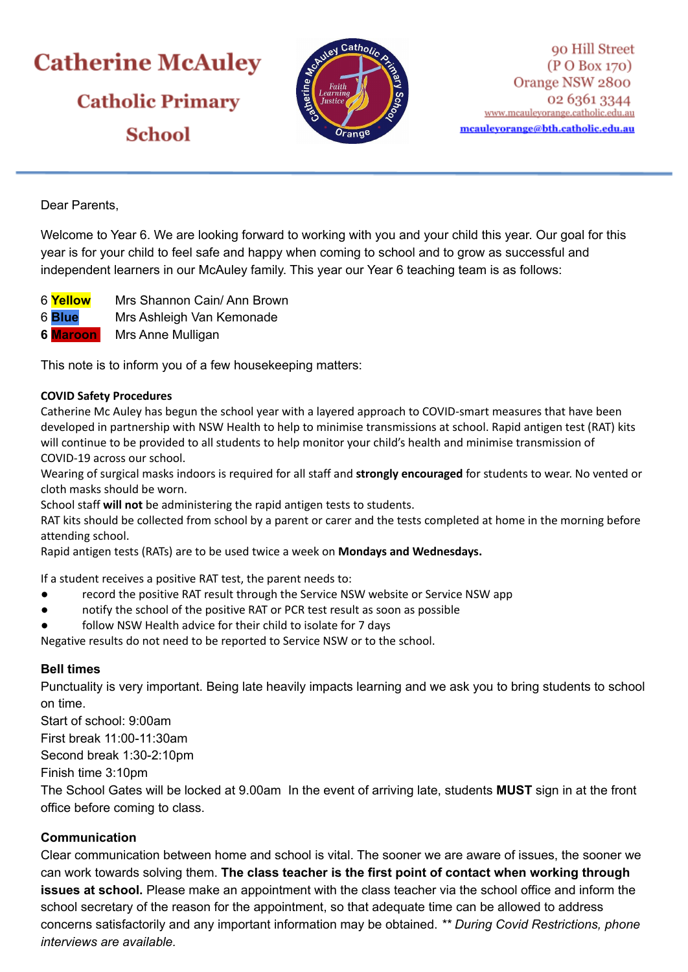# **Catherine McAuley Catholic Primary School**



Dear Parents,

Welcome to Year 6. We are looking forward to working with you and your child this year. Our goal for this year is for your child to feel safe and happy when coming to school and to grow as successful and independent learners in our McAuley family. This year our Year 6 teaching team is as follows:

- 6 **Yellow** Mrs Shannon Cain/ Ann Brown
- 6 **Blue** Mrs Ashleigh Van Kemonade
- **6 Maroon** Mrs Anne Mulligan

This note is to inform you of a few housekeeping matters:

#### **COVID Safety Procedures**

Catherine Mc Auley has begun the school year with a layered approach to COVID-smart measures that have been developed in partnership with NSW Health to help to minimise transmissions at school. Rapid antigen test (RAT) kits will continue to be provided to all students to help monitor your child's health and minimise transmission of COVID-19 across our school.

Wearing of surgical masks indoors is required for all staff and **strongly encouraged** for students to wear. No vented or cloth masks should be worn.

School staff **will not** be administering the rapid antigen tests to students.

RAT kits should be collected from school by a parent or carer and the tests completed at home in the morning before attending school.

Rapid antigen tests (RATs) are to be used twice a week on **Mondays and Wednesdays.**

If a student receives a positive RAT test, the parent needs to:

- record the positive RAT result through the Service NSW website or Service NSW app
- notify the school of the positive RAT or PCR test result as soon as possible
- follow NSW Health advice for their child to isolate for 7 days

Negative results do not need to be reported to Service NSW or to the school.

## **Bell times**

Punctuality is very important. Being late heavily impacts learning and we ask you to bring students to school on time.

Start of school: 9:00am First break 11:00-11:30am Second break 1:30-2:10pm Finish time 3:10pm The School Gates will be locked at 9.00am In the event of arriving late, students **MUST** sign in at the front office before coming to class.

## **Communication**

Clear communication between home and school is vital. The sooner we are aware of issues, the sooner we can work towards solving them. **The class teacher is the first point of contact when working through issues at school.** Please make an appointment with the class teacher via the school office and inform the school secretary of the reason for the appointment, so that adequate time can be allowed to address concerns satisfactorily and any important information may be obtained. *\*\* During Covid Restrictions, phone interviews are available.*